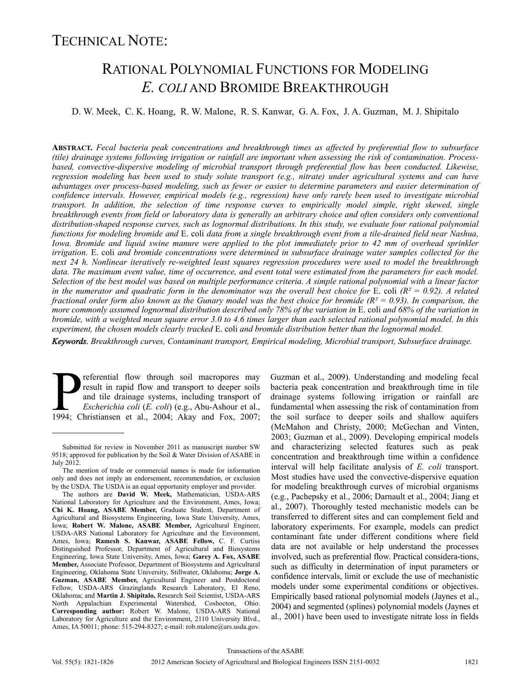# RATIONAL POLYNOMIAL FUNCTIONS FOR MODELING *E. COLI* AND BROMIDE BREAKTHROUGH

D. W. Meek, C. K. Hoang, R. W. Malone, R. S. Kanwar, G. A. Fox, J. A. Guzman, M. J. Shipitalo

**ABSTRACT.** *Fecal bacteria peak concentrations and breakthrough times as affected by preferential flow to subsurface (tile) drainage systems following irrigation or rainfall are important when assessing the risk of contamination. Process*based, convective-dispersive modeling of microbial transport through preferential flow has been conducted. Likewise, *regression modeling has been used to study solute transport (e.g., nitrate) under agricultural systems and can have advantages over process-based modeling, such as fewer or easier to determine parameters and easier determination of confidence intervals. However, empirical models (e.g., regression) have only rarely been used to investigate microbial*  transport. In addition, the selection of time response curves to empirically model simple, right skewed, single *breakthrough events from field or laboratory data is generally an arbitrary choice and often considers only conventional distribution-shaped response curves, such as lognormal distributions. In this study, we evaluate four rational polynomial functions for modeling bromide and* E. coli *data from a single breakthrough event from a tile-drained field near Nashua, Iowa. Bromide and liquid swine manure were applied to the plot immediately prior to 42 mm of overhead sprinkler irrigation.* E. coli *and bromide concentrations were determined in subsurface drainage water samples collected for the next 24 h. Nonlinear iteratively re-weighted least squares regression procedures were used to model the breakthrough data. The maximum event value, time of occurrence, and event total were estimated from the parameters for each model. Selection of the best model was based on multiple performance criteria. A simple rational polynomial with a linear factor in the numerator and quadratic form in the denominator was the overall best choice for* E. coli  $(R^2 = 0.92)$ . A related *fractional order form also known as the Gunary model was the best choice for bromide (R² = 0.93). In comparison, the more commonly assumed lognormal distribution described only 78% of the variation in* E. coli *and 68% of the variation in bromide, with a weighted mean square error 3.0 to 4.6 times larger than each selected rational polynomial model. In this experiment, the chosen models clearly tracked* E. coli *and bromide distribution better than the lognormal model.* 

*Keywords. Breakthrough curves, Contaminant transport, Empirical modeling, Microbial transport, Subsurface drainage.* 

referential flow through soil macropores may result in rapid flow and transport to deeper soils and tile drainage systems, including transport of *Escherichia coli* (*E. coli*) (e.g., Abu-Ashour et al., **1994;** Christiansen et al., 2004; Akay and Fox, 2007;

Guzman et al., 2009). Understanding and modeling fecal bacteria peak concentration and breakthrough time in tile drainage systems following irrigation or rainfall are fundamental when assessing the risk of contamination from the soil surface to deeper soils and shallow aquifers (McMahon and Christy, 2000; McGechan and Vinten, 2003; Guzman et al., 2009). Developing empirical models and characterizing selected features such as peak concentration and breakthrough time within a confidence interval will help facilitate analysis of *E. coli* transport. Most studies have used the convective-dispersive equation for modeling breakthrough curves of microbial organisms (e.g., Pachepsky et al., 2006; Darnault et al., 2004; Jiang et al., 2007). Thoroughly tested mechanistic models can be transferred to different sites and can complement field and laboratory experiments. For example, models can predict contaminant fate under different conditions where field data are not available or help understand the processes involved, such as preferential flow. Practical considera-tions, such as difficulty in determination of input parameters or confidence intervals, limit or exclude the use of mechanistic models under some experimental conditions or objectives. Empirically based rational polynomial models (Jaynes et al., 2004) and segmented (splines) polynomial models (Jaynes et al., 2001) have been used to investigate nitrate loss in fields

Submitted for review in November 2011 as manuscript number SW 9518; approved for publication by the Soil & Water Division of ASABE in July 2012.

The mention of trade or commercial names is made for information only and does not imply an endorsement, recommendation, or exclusion by the USDA. The USDA is an equal opportunity employer and provider.

The authors are **David W. Meek,** Mathematician, USDA-ARS National Laboratory for Agriculture and the Environment, Ames, Iowa; **Chi K. Hoang, ASABE Member,** Graduate Student, Department of Agricultural and Biosystems Engineering, Iowa State University, Ames, Iowa; **Robert W. Malone, ASABE Member,** Agricultural Engineer, USDA-ARS National Laboratory for Agriculture and the Environment, Ames, Iowa; **Ramesh S. Kanwar, ASABE Fellow,** C. F. Curtiss Distinguished Professor, Department of Agricultural and Biosystems Engineering, Iowa State University, Ames, Iowa; **Garey A. Fox, ASABE Member,** Associate Professor, Department of Biosystems and Agricultural Engineering, Oklahoma State University, Stillwater, Oklahoma; **Jorge A. Guzman, ASABE Member,** Agricultural Engineer and Postdoctoral Fellow, USDA-ARS Grazinglands Research Laboratory, El Reno, Oklahoma; and **Martin J. Shipitalo,** Research Soil Scientist, USDA-ARS North Appalachian Experimental Watershed, Coshocton, Ohio. **Corresponding author:** Robert W. Malone, USDA-ARS National Laboratory for Agriculture and the Environment, 2110 University Blvd., Ames, IA 50011; phone: 515-294-8327; e-mail: rob.malone@ars.usda.gov.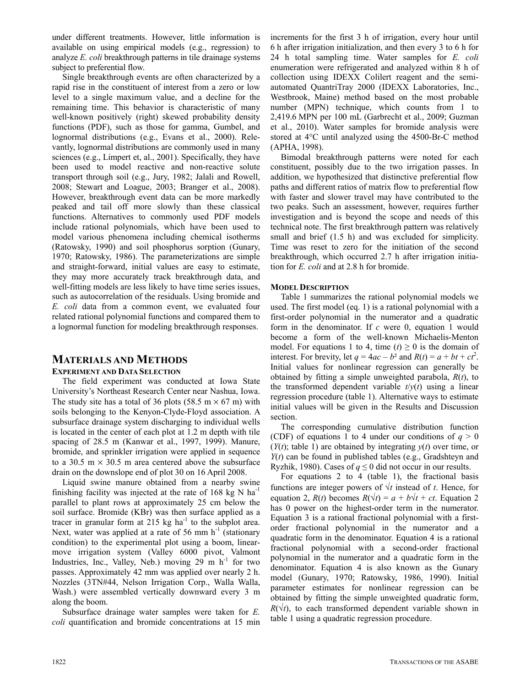under different treatments. However, little information is available on using empirical models (e.g., regression) to analyze *E. coli* breakthrough patterns in tile drainage systems subject to preferential flow.

Single breakthrough events are often characterized by a rapid rise in the constituent of interest from a zero or low level to a single maximum value, and a decline for the remaining time. This behavior is characteristic of many well-known positively (right) skewed probability density functions (PDF), such as those for gamma, Gumbel, and lognormal distributions (e.g., Evans et al., 2000). Relevantly, lognormal distributions are commonly used in many sciences (e.g., Limpert et, al., 2001). Specifically, they have been used to model reactive and non-reactive solute transport through soil (e.g., Jury, 1982; Jalali and Rowell, 2008; Stewart and Loague, 2003; Branger et al., 2008). However, breakthrough event data can be more markedly peaked and tail off more slowly than these classical functions. Alternatives to commonly used PDF models include rational polynomials, which have been used to model various phenomena including chemical isotherms (Ratowsky, 1990) and soil phosphorus sorption (Gunary, 1970; Ratowsky, 1986). The parameterizations are simple and straight-forward, initial values are easy to estimate, they may more accurately track breakthrough data, and well-fitting models are less likely to have time series issues, such as autocorrelation of the residuals. Using bromide and *E. coli* data from a common event, we evaluated four related rational polynomial functions and compared them to a lognormal function for modeling breakthrough responses.

# **MATERIALS AND METHODS**

## **EXPERIMENT AND DATA SELECTION**

The field experiment was conducted at Iowa State University's Northeast Research Center near Nashua, Iowa. The study site has a total of 36 plots (58.5 m  $\times$  67 m) with soils belonging to the Kenyon-Clyde-Floyd association. A subsurface drainage system discharging to individual wells is located in the center of each plot at 1.2 m depth with tile spacing of 28.5 m (Kanwar et al., 1997, 1999). Manure, bromide, and sprinkler irrigation were applied in sequence to a 30.5 m  $\times$  30.5 m area centered above the subsurface drain on the downslope end of plot 30 on 16 April 2008.

Liquid swine manure obtained from a nearby swine finishing facility was injected at the rate of  $168 \text{ kg N} \text{ ha}^{-1}$ parallel to plant rows at approximately 25 cm below the soil surface. Bromide (KBr) was then surface applied as a tracer in granular form at  $215 \text{ kg } \text{ha}^{-1}$  to the subplot area. Next, water was applied at a rate of 56 mm  $h^{-1}$  (stationary condition) to the experimental plot using a boom, linearmove irrigation system (Valley 6000 pivot, Valmont Industries, Inc., Valley, Neb.) moving  $29 \text{ m h}^{-1}$  for two passes. Approximately 42 mm was applied over nearly 2 h. Nozzles (3TN#44, Nelson Irrigation Corp., Walla Walla, Wash.) were assembled vertically downward every 3 m along the boom.

Subsurface drainage water samples were taken for *E. coli* quantification and bromide concentrations at 15 min increments for the first 3 h of irrigation, every hour until 6 h after irrigation initialization, and then every 3 to 6 h for 24 h total sampling time. Water samples for *E. coli* enumeration were refrigerated and analyzed within 8 h of collection using IDEXX Colilert reagent and the semiautomated QuantriTray 2000 (IDEXX Laboratories, Inc., Westbrook, Maine) method based on the most probable number (MPN) technique, which counts from 1 to 2,419.6 MPN per 100 mL (Garbrecht et al., 2009; Guzman et al., 2010). Water samples for bromide analysis were stored at 4°C until analyzed using the 4500-Br-C method (APHA, 1998).

Bimodal breakthrough patterns were noted for each constituent, possibly due to the two irrigation passes. In addition, we hypothesized that distinctive preferential flow paths and different ratios of matrix flow to preferential flow with faster and slower travel may have contributed to the two peaks. Such an assessment, however, requires further investigation and is beyond the scope and needs of this technical note. The first breakthrough pattern was relatively small and brief  $(1.5 \text{ h})$  and was excluded for simplicity. Time was reset to zero for the initiation of the second breakthrough, which occurred 2.7 h after irrigation initiation for *E. coli* and at 2.8 h for bromide.

## **MODEL DESCRIPTION**

Table 1 summarizes the rational polynomial models we used. The first model (eq. 1) is a rational polynomial with a first-order polynomial in the numerator and a quadratic form in the denominator. If *c* were 0, equation 1 would become a form of the well-known Michaelis-Menton model. For equations 1 to 4, time  $(t) \ge 0$  is the domain of interest. For brevity, let  $q = 4ac - b^2$  and  $R(t) = a + bt + ct^2$ . Initial values for nonlinear regression can generally be obtained by fitting a simple unweighted parabola, *R*(*t*), to the transformed dependent variable  $t/\gamma(t)$  using a linear regression procedure (table 1). Alternative ways to estimate initial values will be given in the Results and Discussion section.

The corresponding cumulative distribution function (CDF) of equations 1 to 4 under our conditions of  $q > 0$  $(Y(t))$ ; table 1) are obtained by integrating  $y(t)$  over time, or *Y*(*t*) can be found in published tables (e.g., Gradshteyn and Ryzhik, 1980). Cases of  $q \le 0$  did not occur in our results.

For equations 2 to 4 (table 1), the fractional basis functions are integer powers of  $\sqrt{t}$  instead of *t*. Hence, for equation 2,  $R(t)$  becomes  $R(\sqrt{t}) = a + b\sqrt{t} + ct$ . Equation 2 has 0 power on the highest-order term in the numerator. Equation 3 is a rational fractional polynomial with a firstorder fractional polynomial in the numerator and a quadratic form in the denominator. Equation 4 is a rational fractional polynomial with a second-order fractional polynomial in the numerator and a quadratic form in the denominator. Equation 4 is also known as the Gunary model (Gunary, 1970; Ratowsky, 1986, 1990). Initial parameter estimates for nonlinear regression can be obtained by fitting the simple unweighted quadratic form,  $R(\sqrt{t})$ , to each transformed dependent variable shown in table 1 using a quadratic regression procedure.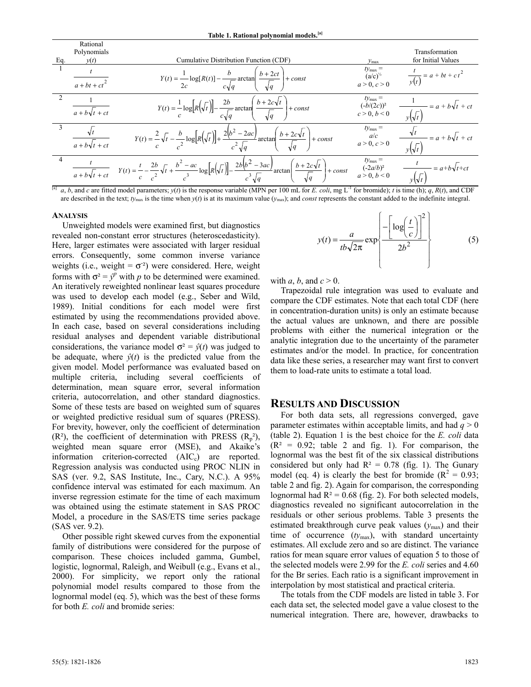|                | Rational<br>Polynomials     |                                                                                                                                                                                                           |                                                              | Transformation                                               |
|----------------|-----------------------------|-----------------------------------------------------------------------------------------------------------------------------------------------------------------------------------------------------------|--------------------------------------------------------------|--------------------------------------------------------------|
| Eq.            | y(t)                        | Cumulative Distribution Function (CDF)                                                                                                                                                                    | $v_{\text{max}}$                                             | for Initial Values                                           |
|                | $a + bt + ct^2$             | $Y(t) = \frac{1}{2c} \log[R(t)] - \frac{b}{c\sqrt{q}} \arctan\left(\frac{b+2ct}{\sqrt{q}}\right) + const$                                                                                                 | $ty_{\text{max}} =$<br>$(a/c)^{\frac{1}{2}}$<br>a > 0, c > 0 | $\frac{v}{v(t)} = a + bt + ct^2$                             |
|                | $a+b\sqrt{t}+ct$            | $Y(t) = \frac{1}{c} \log \left[ R(\sqrt{t}) \right] - \frac{2b}{c\sqrt{q}} \arctan \left( \frac{b + 2c\sqrt{t}}{\sqrt{q}} \right) + const$                                                                | $ty_{\text{max}} =$<br>$(-b/(2c))^2$<br>$c > 0, b < 0$       | $\frac{1}{a} = a + b\sqrt{t + ct}$                           |
|                | $\overline{a+b\sqrt{t+ct}}$ | $Y(t) = \frac{2}{c}\sqrt{t} - \frac{b}{c^2}\log\left[R\left(\sqrt{t}\right)\right] + \frac{2\left(b^2 - 2ac\right)}{c^2\sqrt{a}}\arctan\left(\frac{b + 2c\sqrt{t}}{\sqrt{q}}\right) + const$              | $ty_{\text{max}} =$<br>a/c<br>a > 0, c > 0                   | $\frac{\sqrt{t}}{2}$ = a + b $\sqrt{t}$ + ct<br>$v \sqrt{t}$ |
| $\overline{4}$ | $\frac{1}{a+b\sqrt{t+ct}}$  | $Y(t) = \frac{t}{c} - \frac{2b}{c^2} \sqrt{t} + \frac{b^2 - ac}{c^3} \log \left[ R(\sqrt{t}) \right] - \frac{2b(b^2 - 3ac)}{c^3 \sqrt{a}} \arctan \left( \frac{b + 2c\sqrt{t}}{\sqrt{q}} \right) + const$ | $ty_{\text{max}} =$<br>$(-2a/b)^2$<br>$a > 0, b < 0$         | $= a+b\sqrt{t+ct}$                                           |

<sup>[a]</sup> a, b, and c are fitted model parameters;  $y(t)$  is the response variable (MPN per 100 mL for E. coli, mg L<sup>-1</sup> for bromide); t is time (h); q, R(t), and CDF are described in the text;  $t_{\text{ymax}}$  is the time when  $y(t)$  is at its maximum value  $(y_{\text{max}})$ ; and *const* represents the constant added to the indefinite integral.

#### **ANALYSIS**

Unweighted models were examined first, but diagnostics revealed non-constant error structures (heteroscedasticity). Here, larger estimates were associated with larger residual errors. Consequently, some common inverse variance weights (i.e., weight =  $\sigma^2$ ) were considered. Here, weight forms with  $\sigma^2 = \hat{y}^p$  with *p* to be determined were examined. An iteratively reweighted nonlinear least squares procedure was used to develop each model (e.g., Seber and Wild, 1989). Initial conditions for each model were first estimated by using the recommendations provided above. In each case, based on several considerations including residual analyses and dependent variable distributional considerations, the variance model  $\sigma^2 = \hat{y}(t)$  was judged to be adequate, where  $\hat{y}(t)$  is the predicted value from the given model. Model performance was evaluated based on multiple criteria, including several coefficients of determination, mean square error, several information criteria, autocorrelation, and other standard diagnostics. Some of these tests are based on weighted sum of squares or weighted predictive residual sum of squares (PRESS). For brevity, however, only the coefficient of determination  $(R<sup>2</sup>)$ , the coefficient of determination with PRESS  $(R<sub>n</sub><sup>2</sup>)$ , weighted mean square error (MSE), and Akaike's information criterion-corrected  $(AIC<sub>c</sub>)$  are reported. Regression analysis was conducted using PROC NLIN in SAS (ver. 9.2, SAS Institute, Inc., Cary, N.C.). A 95% confidence interval was estimated for each maximum. An inverse regression estimate for the time of each maximum was obtained using the estimate statement in SAS PROC Model, a procedure in the SAS/ETS time series package (SAS ver. 9.2).

Other possible right skewed curves from the exponential family of distributions were considered for the purpose of comparison. These choices included gamma, Gumbel, logistic, lognormal, Raleigh, and Weibull (e.g., Evans et al., 2000). For simplicity, we report only the rational polynomial model results compared to those from the lognormal model (eq. 5), which was the best of these forms for both *E. coli* and bromide series:

$$
y(t) = \frac{a}{tb\sqrt{2\pi}} \exp\left\{\frac{-\left[\log\left(\frac{t}{c}\right)\right]^2}{2b^2}\right\}
$$
(5)

with *a*, *b*, and  $c > 0$ .

Trapezoidal rule integration was used to evaluate and compare the CDF estimates. Note that each total CDF (here in concentration-duration units) is only an estimate because the actual values are unknown, and there are possible problems with either the numerical integration or the analytic integration due to the uncertainty of the parameter estimates and/or the model. In practice, for concentration data like these series, a researcher may want first to convert them to load-rate units to estimate a total load.

## **RESULTS AND DISCUSSION**

For both data sets, all regressions converged, gave parameter estimates within acceptable limits, and had  $q > 0$ (table 2). Equation 1 is the best choice for the *E. coli* data  $(R<sup>2</sup> = 0.92$ ; table 2 and fig. 1). For comparison, the lognormal was the best fit of the six classical distributions considered but only had  $R^2 = 0.78$  (fig. 1). The Gunary model (eq. 4) is clearly the best for bromide ( $R^2 = 0.93$ ; table 2 and fig. 2). Again for comparison, the corresponding lognormal had  $R^2 = 0.68$  (fig. 2). For both selected models, diagnostics revealed no significant autocorrelation in the residuals or other serious problems. Table 3 presents the estimated breakthrough curve peak values  $(y<sub>max</sub>)$  and their time of occurrence  $(ty_{\text{max}})$ , with standard uncertainty estimates. All exclude zero and so are distinct. The variance ratios for mean square error values of equation 5 to those of the selected models were 2.99 for the *E. coli* series and 4.60 for the Br series. Each ratio is a significant improvement in interpolation by most statistical and practical criteria.

The totals from the CDF models are listed in table 3. For each data set, the selected model gave a value closest to the numerical integration. There are, however, drawbacks to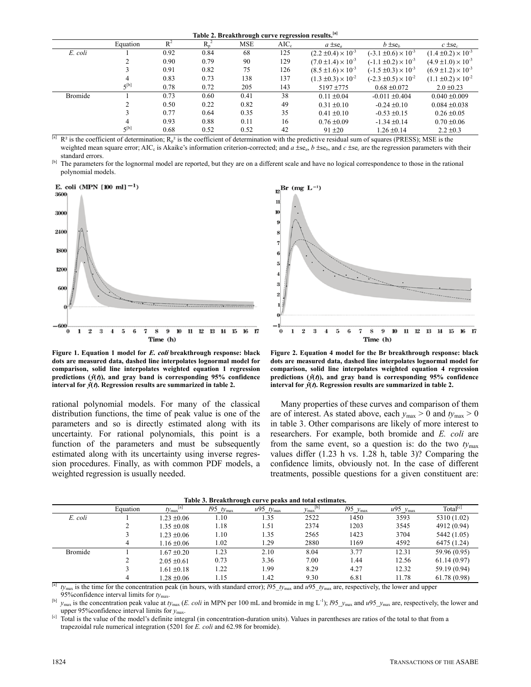| Table 2. Breakthrough curve regression results. [a] |
|-----------------------------------------------------|
|-----------------------------------------------------|

| Tuble 2: Divantified on the residence results. |               |       |                  |            |         |                                |                                 |                                |  |  |
|------------------------------------------------|---------------|-------|------------------|------------|---------|--------------------------------|---------------------------------|--------------------------------|--|--|
|                                                | Equation      | $R^2$ | $\mathbf{r}_{p}$ | <b>MSE</b> | $AIC_c$ | $a \pm s e_a$                  | $b \pm s e_h$                   | $c \pm s e_c$                  |  |  |
| E. coli                                        |               | 0.92  | 0.84             | 68         | 125     | $(2.2 \pm 0.4) \times 10^{-3}$ | $(-3.1 \pm 0.6) \times 10^{-3}$ | $(1.4 \pm 0.2) \times 10^{-3}$ |  |  |
|                                                |               | 0.90  | 0.79             | 90         | 129     | $(7.0 \pm 1.4) \times 10^{-3}$ | $(-1.1 \pm 0.2) \times 10^{-3}$ | $(4.9 \pm 1.0) \times 10^{-3}$ |  |  |
|                                                |               | 0.91  | 0.82             | 75         | 126     | $(8.5 \pm 1.6) \times 10^{-3}$ | $(-1.5 \pm 0.3) \times 10^{-3}$ | $(6.9 \pm 1.2) \times 10^{-3}$ |  |  |
|                                                |               | 0.83  | 0.73             | 138        | 137     | $(1.3 \pm 0.3) \times 10^{-2}$ | $(-2.3 \pm 0.5) \times 10^{-2}$ | $(1.1 \pm 0.2) \times 10^{-2}$ |  |  |
|                                                | $\zeta^{[b]}$ | 0.78  | 0.72             | 205        | 143     | $5197 + 775$                   | $0.68 \pm 0.072$                | $2.0 \pm 0.23$                 |  |  |
| Bromide                                        |               | 0.73  | 0.60             | 0.41       | 38      | $0.11 \pm 0.04$                | $-0.011 \pm 0.404$              | $0.040 \pm 0.009$              |  |  |
|                                                |               | 0.50  | 0.22             | 0.82       | 49      | $0.31 \pm 0.10$                | $-0.24 \pm 0.10$                | $0.084 \pm 0.038$              |  |  |
|                                                |               | 0.77  | 0.64             | 0.35       | 35      | $0.41 \pm 0.10$                | $-0.53 \pm 0.15$                | $0.26 \pm 0.05$                |  |  |
|                                                |               | 0.93  | 0.88             | 0.11       | 16      | $0.76 \pm 0.09$                | $-1.34 \pm 0.14$                | $0.70 \pm 0.06$                |  |  |
|                                                | $\zeta^{[b]}$ | 0.68  | 0.52             | 0.52       | 42      | $91 \pm 20$                    | $1.26 \pm 0.14$                 | $2.2 \pm 0.3$                  |  |  |

 $\mathbb{R}^2$  R<sup>2</sup> is the coefficient of determination;  $R_p^2$  is the coefficient of determination with the predictive residual sum of squares (PRESS); MSE is the weighted mean square error; AIC<sub>c</sub> is Akaike's information criterion-corrected; and  $a \pm s e_a$ ,  $b \pm s e_b$ , and  $c \pm s e_c$  are the regression parameters with their standard errors

<sup>[b]</sup> The parameters for the lognormal model are reported, but they are on a different scale and have no logical correspondence to those in the rational polynomial models.





**Figure 1. Equation 1 model for E. coli breakthrough response: black dots are measured data, dashed line interpolates lognormal model for comparison, solid line interpolates weighted equation 1 regression** predictions  $(f(t))$ , and gray band is corresponding 95% confidence **interval for ŷ(t). Regression results are summarized in table 2.** 

rational polynomial models. For many of the classical distribution functions, the time of peak value is one of the parameters and so is directly estimated along with its uncertainty. For rational polynomials, this point is a function of the parameters and must be subsequently estimated along with its uncertainty using inverse regression procedures. Finally, as with common PDF models, a weighted regression is usually needed.



Many properties of these curves and comparison of them are of interest. As stated above, each  $y_{\text{max}} > 0$  and  $ty_{\text{max}} > 0$ in table 3. Other comparisons are likely of more interest to researchers. For example, both bromide and *E. coli* are from the same event, so a question is: do the two *ty*max values differ (1.23 h vs. 1.28 h, table 3)? Comparing the confidence limits, obviously not. In the case of different treatments, possible questions for a given constituent are:

| Table 5. Dreakthrough curve peaks and total estimates. |          |                   |                         |                                    |                        |                      |                        |                      |
|--------------------------------------------------------|----------|-------------------|-------------------------|------------------------------------|------------------------|----------------------|------------------------|----------------------|
|                                                        | Equation | $ty_{\text{max}}$ | $195$ ty <sub>max</sub> | $u95_{\underline{y_{\text{max}}}}$ | $y_{\text{max}}^{[b]}$ | $195 y_{\text{max}}$ | $u95$ $y_{\text{max}}$ | Total <sup>[c]</sup> |
| E. coli                                                |          | $1.23 \pm 0.06$   | 1.10                    | 1.35                               | 2522                   | 1450                 | 3593                   | 5310 (1.02)          |
|                                                        |          | $1.35 \pm 0.08$   | 1.18                    | 1.51                               | 2374                   | 1203                 | 3545                   | 4912 (0.94)          |
|                                                        |          | $1.23 \pm 0.06$   | 1.10                    | 1.35                               | 2565                   | 1423                 | 3704                   | 5442 (1.05)          |
|                                                        |          | $1.16 \pm 0.06$   | 1.02                    | 1.29                               | 2880                   | 1169                 | 4592                   | 6475 (1.24)          |
| Bromide                                                |          | $1.67 \pm 0.20$   | 1.23                    | 2.10                               | 8.04                   | 3.77                 | 12.31                  | 59.96 (0.95)         |
|                                                        |          | $2.05 \pm 0.61$   | 0.73                    | 3.36                               | 7.00                   | .44                  | 12.56                  | 61.14(0.97)          |
|                                                        |          | $1.61 \pm 0.18$   | 1.22                    | 1.99                               | 8.29                   | 4.27                 | 12.32                  | 59.19 (0.94)         |
|                                                        |          | $1.28 \pm 0.06$   | 1.15                    | 1.42                               | 9.30                   | 6.81                 | 11.78                  | 61.78(0.98)          |

**Table 3. Breakthrough curve peaks and total estimates.** 

 $t y_{\text{max}}$  is the time for the concentration peak (in hours, with standard error);  $l 95_t y_{\text{max}}$  and  $u 95_t y_{\text{max}}$  are, respectively, the lower and upper 95% confidence interval limits for  $t y_{\text{max}}$ .

<sup>[b]</sup>  $y_{\text{max}}$  is the concentration peak value at  $ty_{\text{max}}$  (*E. coli* in MPN per 100 mL and bromide in mg L<sup>-1</sup>); *l*95  $y_{\text{max}}$  and  $u$ 95  $y_{\text{max}}$  are, respectively, the lower and upper 95% confidence interval limits

<sup>[c]</sup> Total is the value of the model's definite integral (in concentration-duration units). Values in parentheses are ratios of the total to that from a trapezoidal rule numerical integration (5201 for *E. coli* and 62.98 for bromide).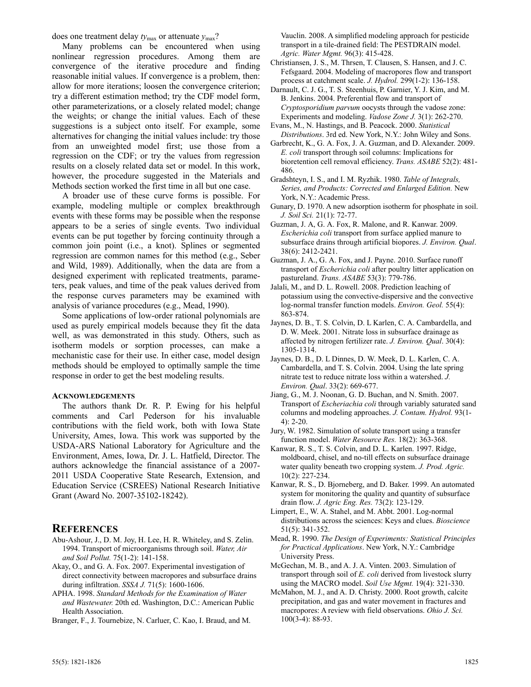does one treatment delay  $t_{y_{max}}$  or attenuate  $y_{max}$ ?

Many problems can be encountered when using nonlinear regression procedures. Among them are convergence of the iterative procedure and finding reasonable initial values. If convergence is a problem, then: allow for more iterations; loosen the convergence criterion; try a different estimation method; try the CDF model form, other parameterizations, or a closely related model; change the weights; or change the initial values. Each of these suggestions is a subject onto itself. For example, some alternatives for changing the initial values include: try those from an unweighted model first; use those from a regression on the CDF; or try the values from regression results on a closely related data set or model. In this work, however, the procedure suggested in the Materials and Methods section worked the first time in all but one case.

A broader use of these curve forms is possible. For example, modeling multiple or complex breakthrough events with these forms may be possible when the response appears to be a series of single events. Two individual events can be put together by forcing continuity through a common join point (i.e., a knot). Splines or segmented regression are common names for this method (e.g., Seber and Wild, 1989). Additionally, when the data are from a designed experiment with replicated treatments, parameters, peak values, and time of the peak values derived from the response curves parameters may be examined with analysis of variance procedures (e.g., Mead, 1990).

Some applications of low-order rational polynomials are used as purely empirical models because they fit the data well, as was demonstrated in this study. Others, such as isotherm models or sorption processes, can make a mechanistic case for their use. In either case, model design methods should be employed to optimally sample the time response in order to get the best modeling results.

## **ACKNOWLEDGEMENTS**

The authors thank Dr. R. P. Ewing for his helpful comments and Carl Pederson for his invaluable contributions with the field work, both with Iowa State University, Ames, Iowa. This work was supported by the USDA-ARS National Laboratory for Agriculture and the Environment, Ames, Iowa, Dr. J. L. Hatfield, Director. The authors acknowledge the financial assistance of a 2007- 2011 USDA Cooperative State Research, Extension, and Education Service (CSREES) National Research Initiative Grant (Award No. 2007-35102-18242).

# **REFERENCES**

- Abu-Ashour, J., D. M. Joy, H. Lee, H. R. Whiteley, and S. Zelin. 1994. Transport of microorganisms through soil. *Water, Air and Soil Pollut.* 75(1-2): 141-158.
- Akay, O., and G. A. Fox. 2007. Experimental investigation of direct connectivity between macropores and subsurface drains during infiltration. *SSSA J.* 71(5): 1600-1606.
- APHA. 1998. *Standard Methods for the Examination of Water and Wastewater.* 20th ed. Washington, D.C.: American Public Health Association.
- Branger, F., J. Tournebize, N. Carluer, C. Kao, I. Braud, and M.

Vauclin. 2008. A simplified modeling approach for pesticide transport in a tile-drained field: The PESTDRAIN model. *Agric. Water Mgmt.* 96(3): 415-428.

- Christiansen, J. S., M. Thrsen, T. Clausen, S. Hansen, and J. C. Fefsgaard. 2004. Modeling of macropores flow and transport process at catchment scale. *J. Hydrol.* 299(1-2): 136-158.
- Darnault, C. J. G., T. S. Steenhuis, P. Garnier, Y. J. Kim, and M. B. Jenkins. 2004. Preferential flow and transport of *Cryptosporidium parvum* oocysts through the vadose zone: Experiments and modeling. *Vadose Zone J.* 3(1): 262-270.
- Evans, M., N. Hastings, and B. Peacock. 2000. *Statistical Distributions*. 3rd ed. New York, N.Y.: John Wiley and Sons.
- Garbrecht, K., G. A. Fox, J. A. Guzman, and D. Alexander. 2009. *E. coli* transport through soil columns: Implications for bioretention cell removal efficiency. *Trans. ASABE* 52(2): 481- 486.
- Gradshteyn, I. S., and I. M. Ryzhik. 1980. *Table of Integrals, Series, and Products: Corrected and Enlarged Edition.* New York, N.Y.: Academic Press.
- Gunary, D. 1970. A new adsorption isotherm for phosphate in soil. *J. Soil Sci.* 21(1): 72-77.
- Guzman, J. A, G. A. Fox, R. Malone, and R. Kanwar. 2009. *Escherichia coli* transport from surface applied manure to subsurface drains through artificial biopores. *J. Environ. Qual*. 38(6): 2412-2421.
- Guzman, J. A., G. A. Fox, and J. Payne. 2010. Surface runoff transport of *Escherichia coli* after poultry litter application on pastureland. *Trans. ASABE* 53(3): 779-786.
- Jalali, M., and D. L. Rowell. 2008. Prediction leaching of potassium using the convective-dispersive and the convective log-normal transfer function models. *Environ. Geol.* 55(4): 863-874.
- Jaynes, D. B., T. S. Colvin, D. L Karlen, C. A. Cambardella, and D. W. Meek. 2001. Nitrate loss in subsurface drainage as affected by nitrogen fertilizer rate. *J. Environ. Qual*. 30(4): 1305-1314.
- Jaynes, D. B., D. L Dinnes, D. W. Meek, D. L. Karlen, C. A. Cambardella, and T. S. Colvin. 2004. Using the late spring nitrate test to reduce nitrate loss within a watershed. *J. Environ. Qual*. 33(2): 669-677.
- Jiang, G., M. J. Noonan, G. D. Buchan, and N. Smith. 2007. Transport of *Escheriachia coli* through variably saturated sand columns and modeling approaches. *J. Contam. Hydrol.* 93(1- 4): 2-20.
- Jury, W. 1982. Simulation of solute transport using a transfer function model. *Water Resource Res.* 18(2): 363-368.
- Kanwar, R. S., T. S. Colvin, and D. L. Karlen. 1997. Ridge, moldboard, chisel, and no-till effects on subsurface drainage water quality beneath two cropping system. *J. Prod. Agric.* 10(2): 227-234.
- Kanwar, R. S., D. Bjorneberg, and D. Baker. 1999. An automated system for monitoring the quality and quantity of subsurface drain flow. *J. Agric Eng. Res.* 73(2): 123-129.
- Limpert, E., W. A. Stahel, and M. Abbt. 2001. Log-normal distributions across the sciences: Keys and clues. *Bioscience* 51(5): 341-352.
- Mead, R. 1990. *The Design of Experiments: Statistical Principles for Practical Applications*. New York, N.Y.: Cambridge University Press.
- McGechan, M. B., and A. J. A. Vinten. 2003. Simulation of transport through soil of *E. coli* derived from livestock slurry using the MACRO model. *Soil Use Mgmt.* 19(4): 321-330.
- McMahon, M. J., and A. D. Christy. 2000. Root growth, calcite precipitation, and gas and water movement in fractures and macropores: A review with field observations. *Ohio J. Sci.* 100(3-4): 88-93.